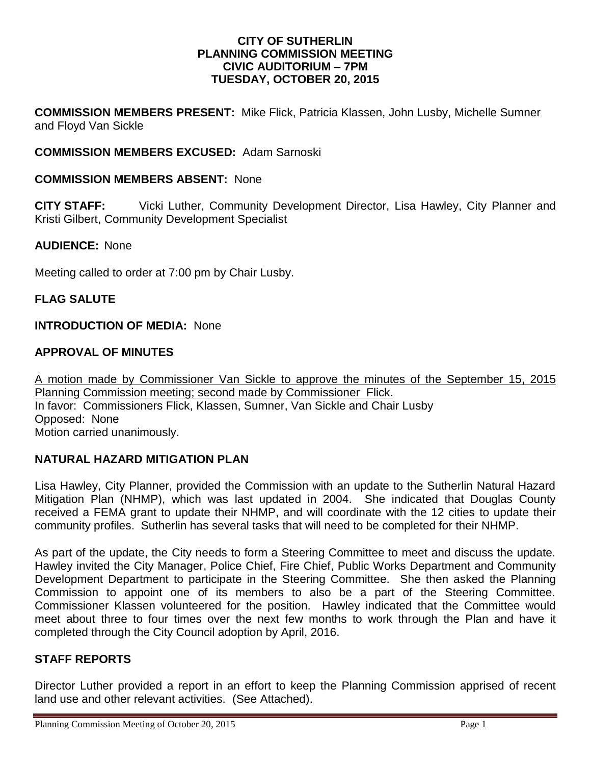#### **CITY OF SUTHERLIN PLANNING COMMISSION MEETING CIVIC AUDITORIUM – 7PM TUESDAY, OCTOBER 20, 2015**

**COMMISSION MEMBERS PRESENT:** Mike Flick, Patricia Klassen, John Lusby, Michelle Sumner and Floyd Van Sickle

# **COMMISSION MEMBERS EXCUSED:** Adam Sarnoski

## **COMMISSION MEMBERS ABSENT:** None

**CITY STAFF:** Vicki Luther, Community Development Director, Lisa Hawley, City Planner and Kristi Gilbert, Community Development Specialist

## **AUDIENCE:** None

Meeting called to order at 7:00 pm by Chair Lusby.

## **FLAG SALUTE**

#### **INTRODUCTION OF MEDIA:** None

## **APPROVAL OF MINUTES**

A motion made by Commissioner Van Sickle to approve the minutes of the September 15, 2015 Planning Commission meeting; second made by Commissioner Flick. In favor: Commissioners Flick, Klassen, Sumner, Van Sickle and Chair Lusby Opposed:None Motion carried unanimously.

## **NATURAL HAZARD MITIGATION PLAN**

Lisa Hawley, City Planner, provided the Commission with an update to the Sutherlin Natural Hazard Mitigation Plan (NHMP), which was last updated in 2004. She indicated that Douglas County received a FEMA grant to update their NHMP, and will coordinate with the 12 cities to update their community profiles. Sutherlin has several tasks that will need to be completed for their NHMP.

As part of the update, the City needs to form a Steering Committee to meet and discuss the update. Hawley invited the City Manager, Police Chief, Fire Chief, Public Works Department and Community Development Department to participate in the Steering Committee. She then asked the Planning Commission to appoint one of its members to also be a part of the Steering Committee. Commissioner Klassen volunteered for the position. Hawley indicated that the Committee would meet about three to four times over the next few months to work through the Plan and have it completed through the City Council adoption by April, 2016.

## **STAFF REPORTS**

Director Luther provided a report in an effort to keep the Planning Commission apprised of recent land use and other relevant activities. (See Attached).